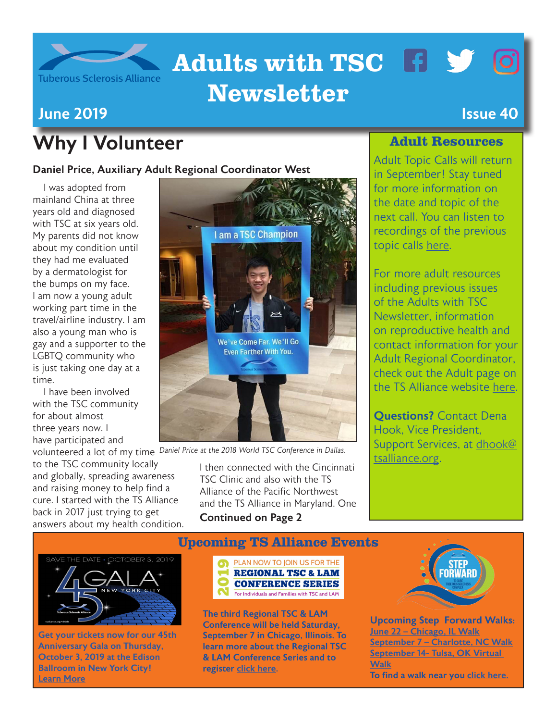

# Adults with TSC FFY O Newsletter

### **June 2019** Issue 40

### Why I Volunteer

#### Daniel Price, Auxiliary Adult Regional Coordinator West

I was adopted from mainland China at three years old and diagnosed with TSC at six years old. My parents did not know about my condition until they had me evaluated by a dermatologist for the bumps on my face. I am now a young adult working part time in the travel/airline industry. I am also a young man who is gay and a supporter to the LGBTQ community who is just taking one day at a time.

I have been involved with the TSC community for about almost three years now. I have participated and

to the TSC community locally and globally, spreading awareness and raising money to help find a cure. I started with the TS Alliance back in 2017 just trying to get answers about my health condition.



volunteered a lot of my time *Daniel Price at the 2018 World TSC Conference in Dallas.*

I then connected with the Cincinnati TSC Clinic and also with the TS Alliance of the Pacific Northwest and the TS Alliance in Maryland. One

Continued on Page 2

#### Adult Resources

Adult Topic Calls will return in September! Stay tuned for more information on the date and topic of the next call. You can listen to recordings of the previous topic calls [here.](https://www.tsalliance.org/individuals-families/adults/)

For more adult resources including previous issues of the Adults with TSC Newsletter, information on reproductive health and contact information for your Adult Regional Coordinator, check out the Adult page on the TS Alliance website [here.](https://www.tsalliance.org/individuals-families/adults/)

**Questions?** Contact Dena Hook, Vice President, Support Services, at [dhook@](mailto:dhook%40tsalliance.org?subject=) [tsalliance.org.](mailto:dhook%40tsalliance.org?subject=)



Get your tickets now for our 45th Anniversary Gala on Thursday, October 3, 2019 at the Edison Ballroom in New York City! [Learn More](https://tsalliance.schoolauction.net/45gala/)

## Upcoming TS Alliance Events



The third Regional TSC & LAM Conference will be held Saturday, September 7 in Chicago, Illinois. To learn more about the Regional TSC & LAM Conference Series and to register [click here](https://www.thelamfoundation.org/2019-TSC-LAM).



Upc[oming Step Forward Wa](http://giving.tsalliance.org/site/PageServer?pagename=Step17_Home.html)lks: [June 22 – Chicago, IL Walk](http://giving.tsalliance.org/site/TR?fr_id=1585&pg=entry) [September 7 – Charlotte, NC Walk](http://giving.tsalliance.org/site/TR?fr_id=1584&pg=entry) [September 14- Tulsa, OK Virtual](http://giving.tsalliance.org/site/TR?fr_id=1602&pg=entry)  [Walk](http://giving.tsalliance.org/site/TR?fr_id=1602&pg=entry) To find a walk near you [click here.](http://giving.tsalliance.org/site/PageServer?pagename=Step17_Home.html)